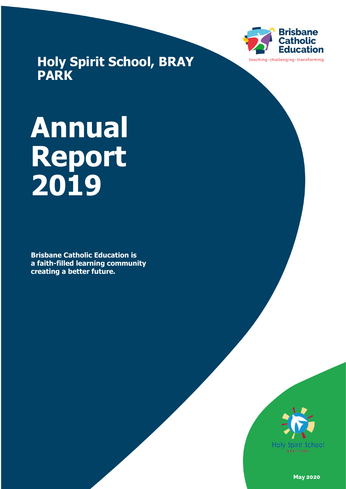

**Holy Spirit School, BRAY PARK**

# **Annual Report 2019**

**Brisbane Catholic Education is a faith-filled learning community creating a better future.**



**May 2020**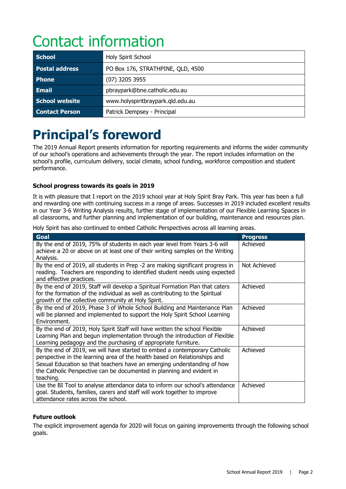# Contact information

| <b>School</b>         | Holy Spirit School                |  |
|-----------------------|-----------------------------------|--|
| <b>Postal address</b> | PO Box 176, STRATHPINE, QLD, 4500 |  |
| <b>Phone</b>          | $(07)$ 3205 3955                  |  |
| <b>Email</b>          | pbraypark@bne.catholic.edu.au     |  |
| School website        | www.holyspiritbraypark.qld.edu.au |  |
| <b>Contact Person</b> | Patrick Dempsey - Principal       |  |

# **Principal's foreword**

The 2019 Annual Report presents information for reporting requirements and informs the wider community of our school's operations and achievements through the year. The report includes information on the school's profile, curriculum delivery, social climate, school funding, workforce composition and student performance.

#### **School progress towards its goals in 2019**

It is with pleasure that I report on the 2019 school year at Holy Spirit Bray Park. This year has been a full and rewarding one with continuing success in a range of areas. Successes in 2019 included excellent results in our Year 3-6 Writing Analysis results, further stage of implementation of our Flexible Learning Spaces in all classrooms, and further planning and implementation of our building, maintenance and resources plan.

Holy Spirit has also continued to embed Catholic Perspectives across all learning areas.

| <b>Goal</b>                                                                                                                                                                                                                                                                                                             | <b>Progress</b> |
|-------------------------------------------------------------------------------------------------------------------------------------------------------------------------------------------------------------------------------------------------------------------------------------------------------------------------|-----------------|
| By the end of 2019, 75% of students in each year level from Years 3-6 will<br>achieve a 20 or above on at least one of their writing samples on the Writing<br>Analysis.                                                                                                                                                | Achieved        |
| By the end of 2019, all students in Prep -2 are making significant progress in<br>reading. Teachers are responding to identified student needs using expected<br>and effective practices.                                                                                                                               | Not Achieved    |
| By the end of 2019, Staff will develop a Spiritual Formation Plan that caters<br>for the formation of the individual as well as contributing to the Spiritual<br>growth of the collective community at Holy Spirit.                                                                                                     | Achieved        |
| By the end of 2019, Phase 3 of Whole School Building and Maintenance Plan<br>will be planned and implemented to support the Holy Spirit School Learning<br>Environment.                                                                                                                                                 | Achieved        |
| By the end of 2019, Holy Spirit Staff will have written the school Flexible<br>Learning Plan and begun implementation through the introduction of Flexible<br>Learning pedagogy and the purchasing of appropriate furniture.                                                                                            | Achieved        |
| By the end of 2019, we will have started to embed a contemporary Catholic<br>perspective in the learning area of the health based on Relationships and<br>Sexual Education so that teachers have an emerging understanding of how<br>the Catholic Perspective can be documented in planning and evident in<br>teaching. | Achieved        |
| Use the BI Tool to analyse attendance data to inform our school's attendance<br>goal. Students, families, carers and staff will work together to improve<br>attendance rates across the school.                                                                                                                         | Achieved        |

#### **Future outlook**

The explicit improvement agenda for 2020 will focus on gaining improvements through the following school goals.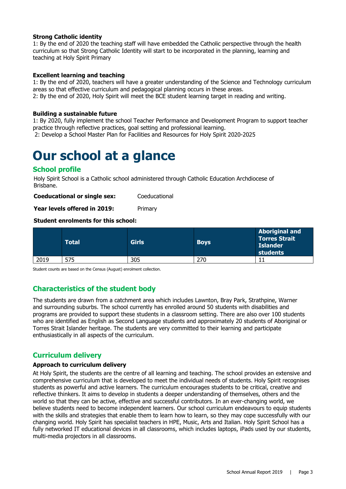#### **Strong Catholic identity**

1: By the end of 2020 the teaching staff will have embedded the Catholic perspective through the health curriculum so that Strong Catholic Identity will start to be incorporated in the planning, learning and teaching at Holy Spirit Primary

#### **Excellent learning and teaching**

1: By the end of 2020, teachers will have a greater understanding of the Science and Technology curriculum areas so that effective curriculum and pedagogical planning occurs in these areas. 2: By the end of 2020, Holy Spirit will meet the BCE student learning target in reading and writing.

#### **Building a sustainable future**

1: By 2020, fully implement the school Teacher Performance and Development Program to support teacher practice through reflective practices, goal setting and professional learning. 2: Develop a School Master Plan for Facilities and Resources for Holy Spirit 2020-2025

### **Our school at a glance**

#### **School profile**

Holy Spirit School is a Catholic school administered through Catholic Education Archdiocese of Brisbane.

**Coeducational or single sex:** Coeducational

Year levels offered in 2019: Primary

#### **Student enrolments for this school:**

|      | Total | <b>Girls</b> | <b>Boys</b> | <b>Aboriginal and</b><br><b>Torres Strait</b><br><b>Islander</b><br>students |
|------|-------|--------------|-------------|------------------------------------------------------------------------------|
| 2019 | 575   | 305          | 270         |                                                                              |

Student counts are based on the Census (August) enrolment collection.

#### **Characteristics of the student body**

The students are drawn from a catchment area which includes Lawnton, Bray Park, Strathpine, Warner and surrounding suburbs. The school currently has enrolled around 50 students with disabilities and programs are provided to support these students in a classroom setting. There are also over 100 students who are identified as English as Second Language students and approximately 20 students of Aboriginal or Torres Strait Islander heritage. The students are very committed to their learning and participate enthusiastically in all aspects of the curriculum.

#### **Curriculum delivery**

#### **Approach to curriculum delivery**

At Holy Spirit, the students are the centre of all learning and teaching. The school provides an extensive and comprehensive curriculum that is developed to meet the individual needs of students. Holy Spirit recognises students as powerful and active learners. The curriculum encourages students to be critical, creative and reflective thinkers. It aims to develop in students a deeper understanding of themselves, others and the world so that they can be active, effective and successful contributors. In an ever-changing world, we believe students need to become independent learners. Our school curriculum endeavours to equip students with the skills and strategies that enable them to learn how to learn, so they may cope successfully with our changing world. Holy Spirit has specialist teachers in HPE, Music, Arts and Italian. Holy Spirit School has a fully networked IT educational devices in all classrooms, which includes laptops, iPads used by our students, multi-media projectors in all classrooms.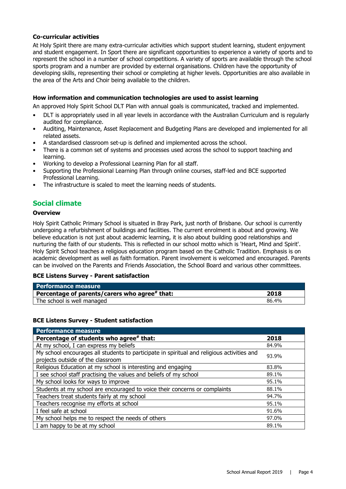#### **Co-curricular activities**

At Holy Spirit there are many extra-curricular activities which support student learning, student enjoyment and student engagement. In Sport there are significant opportunities to experience a variety of sports and to represent the school in a number of school competitions. A variety of sports are available through the school sports program and a number are provided by external organisations. Children have the opportunity of developing skills, representing their school or completing at higher levels. Opportunities are also available in the area of the Arts and Choir being available to the children.

#### **How information and communication technologies are used to assist learning**

An approved Holy Spirit School DLT Plan with annual goals is communicated, tracked and implemented.

- DLT is appropriately used in all year levels in accordance with the Australian Curriculum and is regularly audited for compliance.
- Auditing, Maintenance, Asset Replacement and Budgeting Plans are developed and implemented for all related assets.
- A standardised classroom set-up is defined and implemented across the school.
- There is a common set of systems and processes used across the school to support teaching and learning.
- Working to develop a Professional Learning Plan for all staff.
- Supporting the Professional Learning Plan through online courses, staff-led and BCE supported Professional Learning.
- The infrastructure is scaled to meet the learning needs of students.

#### **Social climate**

#### **Overview**

Holy Spirit Catholic Primary School is situated in Bray Park, just north of Brisbane. Our school is currently undergoing a refurbishment of buildings and facilities. The current enrolment is about and growing. We believe education is not just about academic learning, it is also about building good relationships and nurturing the faith of our students. This is reflected in our school motto which is 'Heart, Mind and Spirit'. Holy Spirit School teaches a religious education program based on the Catholic Tradition. Emphasis is on academic development as well as faith formation. Parent involvement is welcomed and encouraged. Parents can be involved on the Parents and Friends Association, the School Board and various other committees.

#### **BCE Listens Survey - Parent satisfaction**

| Performance measure                           |       |
|-----------------------------------------------|-------|
| Percentage of parents/carers who agree# that: | 2018  |
| The school is well managed                    | 86.4% |

#### **BCE Listens Survey - Student satisfaction**

| <b>Performance measure</b>                                                                 |       |
|--------------------------------------------------------------------------------------------|-------|
| Percentage of students who agree# that:                                                    | 2018  |
| At my school, I can express my beliefs                                                     | 84.9% |
| My school encourages all students to participate in spiritual and religious activities and | 93.9% |
| projects outside of the classroom                                                          |       |
| Religious Education at my school is interesting and engaging                               | 83.8% |
| I see school staff practising the values and beliefs of my school                          | 89.1% |
| My school looks for ways to improve                                                        | 95.1% |
| Students at my school are encouraged to voice their concerns or complaints                 | 88.1% |
| Teachers treat students fairly at my school                                                | 94.7% |
| Teachers recognise my efforts at school                                                    | 95.1% |
| I feel safe at school                                                                      | 91.6% |
| My school helps me to respect the needs of others                                          | 97.0% |
| I am happy to be at my school                                                              | 89.1% |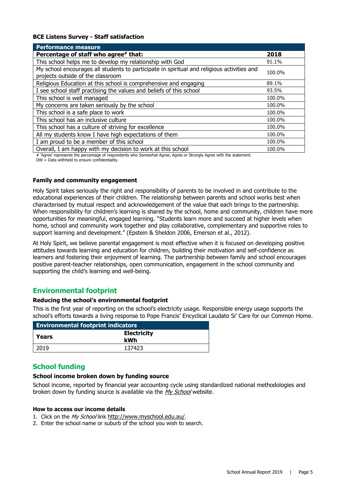#### **BCE Listens Survey - Staff satisfaction**

| <b>Performance measure</b>                                                                                                      |        |
|---------------------------------------------------------------------------------------------------------------------------------|--------|
| Percentage of staff who agree# that:                                                                                            | 2018   |
| This school helps me to develop my relationship with God                                                                        | 91.1%  |
| My school encourages all students to participate in spiritual and religious activities and<br>projects outside of the classroom | 100.0% |
| Religious Education at this school is comprehensive and engaging                                                                | 89.1%  |
| I see school staff practising the values and beliefs of this school                                                             | 93.5%  |
| This school is well managed                                                                                                     | 100.0% |
| My concerns are taken seriously by the school                                                                                   | 100.0% |
| This school is a safe place to work                                                                                             | 100.0% |
| This school has an inclusive culture                                                                                            | 100.0% |
| This school has a culture of striving for excellence                                                                            | 100.0% |
| All my students know I have high expectations of them                                                                           | 100.0% |
| I am proud to be a member of this school                                                                                        | 100.0% |
| Overall, I am happy with my decision to work at this school                                                                     | 100.0% |

# 'Agree' represents the percentage of respondents who Somewhat Agree, Agree or Strongly Agree with the statement. DW = Data withheld to ensure confidentiality.

#### **Family and community engagement**

Holy Spirit takes seriously the right and responsibility of parents to be involved in and contribute to the educational experiences of their children. The relationship between parents and school works best when characterised by mutual respect and acknowledgement of the value that each brings to the partnership. When responsibility for children's learning is shared by the school, home and community, children have more opportunities for meaningful, engaged learning. "Students learn more and succeed at higher levels when home, school and community work together and play collaborative, complementary and supportive roles to support learning and development." (Epstein & Sheldon 2006, Emerson et al., 2012).

At Holy Spirit, we believe parental engagement is most effective when it is focused on developing positive attitudes towards learning and education for children, building their motivation and self-confidence as learners and fostering their enjoyment of learning. The partnership between family and school encourages positive parent-teacher relationships, open communication, engagement in the school community and supporting the child's learning and well-being.

#### **Environmental footprint**

#### **Reducing the school's environmental footprint**

This is the first year of reporting on the school's electricity usage. Responsible energy usage supports the school's efforts towards a living response to Pope Francis' Encyclical Laudato Si' Care for our Common Home.

| <b>Environmental footprint indicators</b> |                           |  |
|-------------------------------------------|---------------------------|--|
| Years                                     | <b>Electricity</b><br>kWh |  |
| 2019                                      | 137423                    |  |

#### **School funding**

#### **School income broken down by funding source**

School income, reported by financial year accounting cycle using standardized national methodologies and broken down by funding source is available via the [My School](http://www.myschool.edu.au/) website.

#### **How to access our income details**

- 1. Click on the My School link [http://www.myschool.edu.au/.](http://www.myschool.edu.au/)
- 2. Enter the school name or suburb of the school you wish to search.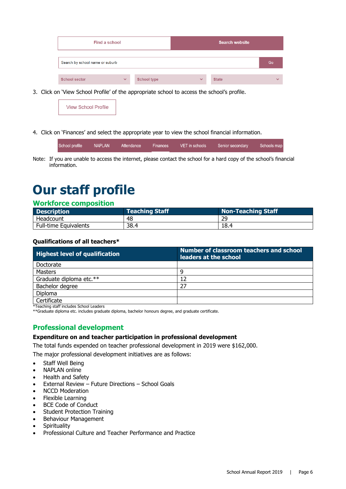| Find a school                   |              |                    |              | <b>Search website</b> |              |
|---------------------------------|--------------|--------------------|--------------|-----------------------|--------------|
| Search by school name or suburb |              |                    |              |                       | Go           |
| <b>School sector</b>            | $\checkmark$ | <b>School type</b> | $\checkmark$ | <b>State</b>          | $\checkmark$ |

3. Click on 'View School Profile' of the appropriate school to access the school's profile.

| <b>View School Profile</b> |
|----------------------------|
|----------------------------|

4. Click on 'Finances' and select the appropriate year to view the school financial information.

| School profile | NAPLAN | Attendance | Finances | VET in schools | Senior secondary | Schools map |
|----------------|--------|------------|----------|----------------|------------------|-------------|
|                |        |            |          |                |                  |             |

Note: If you are unable to access the internet, please contact the school for a hard copy of the school's financial information.

# **Our staff profile**

#### **Workforce composition**

| <b>Description</b>    | <b>Teaching Staff</b> | Non-Teaching Staff |
|-----------------------|-----------------------|--------------------|
| Headcount             | 48                    | 29                 |
| Full-time Equivalents | 38.4                  | 18.4               |

#### **Qualifications of all teachers\***

| <b>Highest level of qualification</b> | Number of classroom teachers and school<br>leaders at the school |
|---------------------------------------|------------------------------------------------------------------|
| Doctorate                             |                                                                  |
| Masters                               | Q                                                                |
| Graduate diploma etc.**               | 12                                                               |
| Bachelor degree                       | 27                                                               |
| Diploma                               |                                                                  |
| Certificate                           |                                                                  |

\*Teaching staff includes School Leaders

\*\*Graduate diploma etc. includes graduate diploma, bachelor honours degree, and graduate certificate.

#### **Professional development**

#### **Expenditure on and teacher participation in professional development**

The total funds expended on teacher professional development in 2019 were \$162,000.

The major professional development initiatives are as follows:

- Staff Well Being
- NAPLAN online
- Health and Safety
- External Review Future Directions School Goals
- NCCD Moderation
- Flexible Learning
- BCE Code of Conduct
- Student Protection Training
- Behaviour Management
- Spirituality
- Professional Culture and Teacher Performance and Practice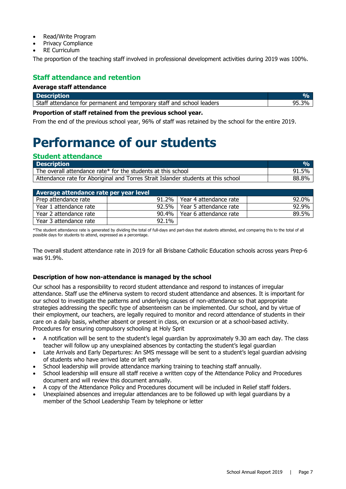- Read/Write Program
- Privacy Compliance
- **RE Curriculum**

The proportion of the teaching staff involved in professional development activities during 2019 was 100%.

#### **Staff attendance and retention**

#### **Average staff attendance**

| <b>Description</b>                                                    |  |
|-----------------------------------------------------------------------|--|
| Staff attendance for permanent and temporary staff and school leaders |  |

#### **Proportion of staff retained from the previous school year.**

From the end of the previous school year, 96% of staff was retained by the school for the entire 2019.

# **Performance of our students**

#### **Student attendance**

| <b>Description</b>                                                                |       |
|-----------------------------------------------------------------------------------|-------|
| The overall attendance rate* for the students at this school                      | 91.5% |
| Attendance rate for Aboriginal and Torres Strait Islander students at this school | 88.8% |

| Average attendance rate per year level |          |                                |       |
|----------------------------------------|----------|--------------------------------|-------|
| Prep attendance rate                   |          | 91.2%   Year 4 attendance rate | 92.0% |
| Year 1 attendance rate                 | $92.5\%$ | l Year 5 attendance rate       | 92.9% |
| Year 2 attendance rate                 | $90.4\%$ | Year 6 attendance rate         | 89.5% |
| Year 3 attendance rate                 | 92.1%    |                                |       |

\*The student attendance rate is generated by dividing the total of full-days and part-days that students attended, and comparing this to the total of all possible days for students to attend, expressed as a percentage.

The overall student attendance rate in 2019 for all Brisbane Catholic Education schools across years Prep-6 was 91.9%.

#### **Description of how non-attendance is managed by the school**

Our school has a responsibility to record student attendance and respond to instances of irregular attendance. Staff use the eMinerva system to record student attendance and absences. It is important for our school to investigate the patterns and underlying causes of non-attendance so that appropriate strategies addressing the specific type of absenteeism can be implemented. Our school, and by virtue of their employment, our teachers, are legally required to monitor and record attendance of students in their care on a daily basis, whether absent or present in class, on excursion or at a school-based activity. Procedures for ensuring compulsory schooling at Holy Sprit

- A notification will be sent to the student's legal guardian by approximately 9.30 am each day. The class teacher will follow up any unexplained absences by contacting the student's legal guardian
- Late Arrivals and Early Departures: An SMS message will be sent to a student's legal guardian advising of students who have arrived late or left early
- School leadership will provide attendance marking training to teaching staff annually.
- School leadership will ensure all staff receive a written copy of the Attendance Policy and Procedures document and will review this document annually.
- A copy of the Attendance Policy and Procedures document will be included in Relief staff folders.
- Unexplained absences and irregular attendances are to be followed up with legal guardians by a member of the School Leadership Team by telephone or letter